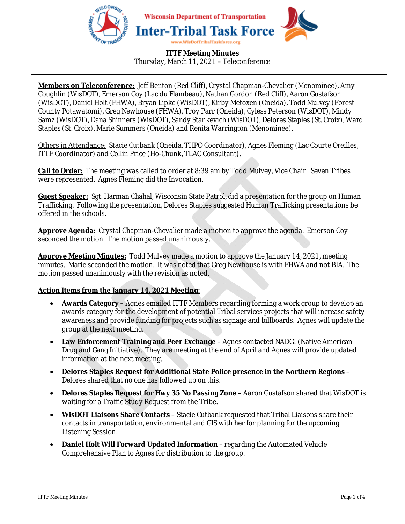

### **ITTF Meeting Minutes**  Thursday, March 11, 2021 – Teleconference

**Members on Teleconference:** Jeff Benton (Red Cliff), Crystal Chapman-Chevalier (Menominee), Amy Coughlin (WisDOT), Emerson Coy (Lac du Flambeau), Nathan Gordon (Red Cliff), Aaron Gustafson (WisDOT), Daniel Holt (FHWA), Bryan Lipke (WisDOT), Kirby Metoxen (Oneida), Todd Mulvey (Forest County Potawatomi), Greg Newhouse (FHWA), Troy Parr (Oneida), Cyless Peterson (WisDOT), Mindy Samz (WisDOT), Dana Shinners (WisDOT), Sandy Stankevich (WisDOT), Delores Staples (St. Croix), Ward Staples (St. Croix), Marie Summers (Oneida) and Renita Warrington (Menominee).

Others in Attendance: Stacie Cutbank (Oneida, THPO Coordinator), Agnes Fleming (Lac Courte Oreilles, ITTF Coordinator) and Collin Price (Ho-Chunk, TLAC Consultant).

**Call to Order:** The meeting was called to order at 8:39 am by Todd Mulvey, Vice Chair. Seven Tribes were represented. Agnes Fleming did the Invocation.

**Guest Speaker:** Sgt. Harman Chahal, Wisconsin State Patrol, did a presentation for the group on Human Trafficking. Following the presentation, Delores Staples suggested Human Trafficking presentations be offered in the schools.

**Approve Agenda:** Crystal Chapman-Chevalier made a motion to approve the agenda. Emerson Coy seconded the motion. The motion passed unanimously.

**Approve Meeting Minutes:** Todd Mulvey made a motion to approve the January 14, 2021, meeting minutes. Marie seconded the motion. It was noted that Greg Newhouse is with FHWA and not BIA. The motion passed unanimously with the revision as noted.

## **Action Items from the January 14, 2021 Meeting:**

- **Awards Category** Agnes emailed ITTF Members regarding forming a work group to develop an awards category for the development of potential Tribal services projects that will increase safety awareness and provide funding for projects such as signage and billboards. Agnes will update the group at the next meeting.
- **Law Enforcement Training and Peer Exchange** Agnes contacted NADGI (Native American Drug and Gang Initiative). They are meeting at the end of April and Agnes will provide updated information at the next meeting.
- **Delores Staples Request for Additional State Police presence in the Northern Regions** Delores shared that no one has followed up on this.
- **Delores Staples Request for Hwy 35 No Passing Zone** Aaron Gustafson shared that WisDOT is waiting for a Traffic Study Request from the Tribe.
- **WisDOT Liaisons Share Contacts** Stacie Cutbank requested that Tribal Liaisons share their contacts in transportation, environmental and GIS with her for planning for the upcoming Listening Session.
- **Daniel Holt Will Forward Updated Information** regarding the Automated Vehicle Comprehensive Plan to Agnes for distribution to the group.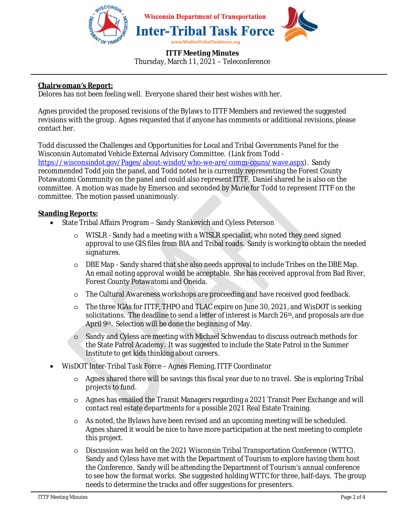

#### **ITTF Meeting Minutes**  Thursday, March 11, 2021 – Teleconference

### **Chairwoman's Report:**

Delores has not been feeling well. Everyone shared their best wishes with her.

Agnes provided the proposed revisions of the Bylaws to ITTF Members and reviewed the suggested revisions with the group. Agnes requested that if anyone has comments or additional revisions, please contact her.

Todd discussed the Challenges and Opportunities for Local and Tribal Governments Panel for the Wisconsin Automated Vehicle External Advisory Committee. (Link from Todd https://wisconsindot.gov/Pages/about-wisdot/who-we-are/comm-couns/wave.aspx). Sandy recommended Todd join the panel, and Todd noted he is currently representing the Forest County Potawatomi Community on the panel and could also represent ITTF. Daniel shared he is also on the committee. A motion was made by Emerson and seconded by Marie for Todd to represent ITTF on the committee. The motion passed unanimously.

### **Standing Reports:**

- State Tribal Affairs Program Sandy Stankevich and Cyless Peterson
	- WISLR Sandy had a meeting with a WISLR specialist, who noted they need signed approval to use GIS files from BIA and Tribal roads. Sandy is working to obtain the needed signatures.
	- o DBE Map Sandy shared that she also needs approval to include Tribes on the DBE Map. An email noting approval would be acceptable. She has received approval from Bad River, Forest County Potawatomi and Oneida.
	- o The Cultural Awareness workshops are proceeding and have received good feedback.
	- o The three IGAs for ITTF, THPO and TLAC expire on June 30, 2021, and WisDOT is seeking solicitations. The deadline to send a letter of interest is March 26th, and proposals are due April 9th. Selection will be done the beginning of May.
	- Sandy and Cyless are meeting with Michael Schwendau to discuss outreach methods for the State Patrol Academy. It was suggested to include the State Patrol in the Summer Institute to get kids thinking about careers.
- WisDOT Inter-Tribal Task Force Agnes Fleming, ITTF Coordinator
	- o Agnes shared there will be savings this fiscal year due to no travel. She is exploring Tribal projects to fund.
	- o Agnes has emailed the Transit Managers regarding a 2021 Transit Peer Exchange and will contact real estate departments for a possible 2021 Real Estate Training.
	- o As noted, the Bylaws have been revised and an upcoming meeting will be scheduled. Agnes shared it would be nice to have more participation at the next meeting to complete this project.
	- o Discussion was held on the 2021 Wisconsin Tribal Transportation Conference (WTTC). Sandy and Cyless have met with the Department of Tourism to explore having them host the Conference. Sandy will be attending the Department of Tourism's annual conference to see how the format works. She suggested holding WTTC for three, half-days. The group needs to determine the tracks and offer suggestions for presenters.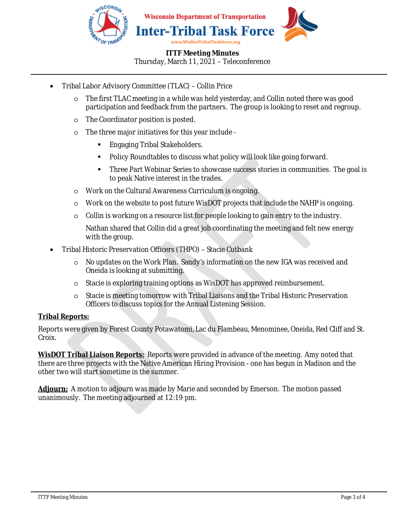

## **ITTF Meeting Minutes**  Thursday, March 11, 2021 – Teleconference

- Tribal Labor Advisory Committee (TLAC) Collin Price
	- o The first TLAC meeting in a while was held yesterday, and Collin noted there was good participation and feedback from the partners. The group is looking to reset and regroup.
	- o The Coordinator position is posted.
	- o The three major initiatives for this year include
		- Engaging Tribal Stakeholders.
		- Policy Roundtables to discuss what policy will look like going forward.
		- Three Part Webinar Series to showcase success stories in communities. The goal is to peak Native interest in the trades.
	- o Work on the Cultural Awareness Curriculum is ongoing.
	- o Work on the website to post future WisDOT projects that include the NAHP is ongoing.
	- o Collin is working on a resource list for people looking to gain entry to the industry.

Nathan shared that Collin did a great job coordinating the meeting and felt new energy with the group.

- Tribal Historic Preservation Officers (THPO) Stacie Cutbank
	- o No updates on the Work Plan. Sandy's information on the new IGA was received and Oneida is looking at submitting.
	- o Stacie is exploring training options as WisDOT has approved reimbursement.
	- o Stacie is meeting tomorrow with Tribal Liaisons and the Tribal Historic Preservation Officers to discuss topics for the Annual Listening Session.

## **Tribal Reports:**

Reports were given by Forest County Potawatomi, Lac du Flambeau, Menominee, Oneida, Red Cliff and St. Croix.

**WisDOT Tribal Liaison Reports:** Reports were provided in advance of the meeting. Amy noted that there are three projects with the Native American Hiring Provision - one has begun in Madison and the other two will start sometime in the summer.

**Adjourn:** A motion to adjourn was made by Marie and seconded by Emerson. The motion passed unanimously. The meeting adjourned at 12:19 pm.